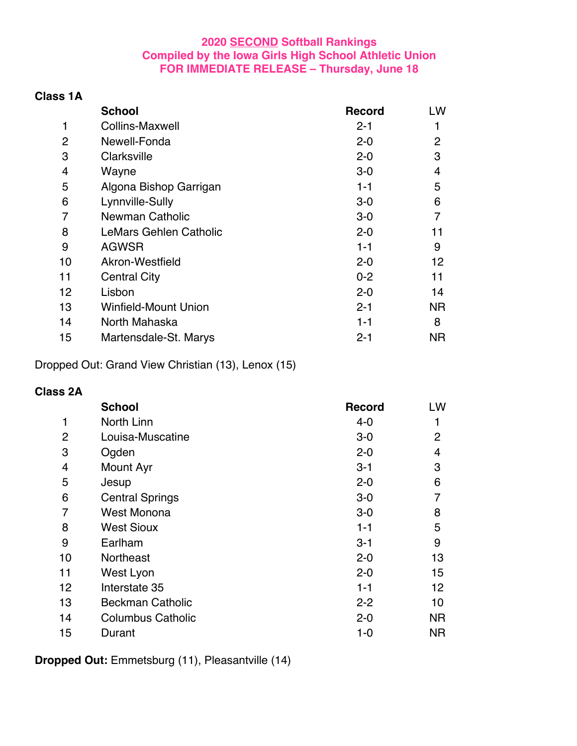#### **2020 SECOND Softball Rankings Compiled by the Iowa Girls High School Athletic Union FOR IMMEDIATE RELEASE – Thursday, June 18**

### **Class 1A**

|                | <b>School</b>               | <b>Record</b> | LW |
|----------------|-----------------------------|---------------|----|
| 1              | <b>Collins-Maxwell</b>      | $2 - 1$       | 1  |
| $\overline{2}$ | Newell-Fonda                | $2 - 0$       | 2  |
| 3              | Clarksville                 | $2 - 0$       | 3  |
| 4              | Wayne                       | $3-0$         | 4  |
| 5              | Algona Bishop Garrigan      | $1 - 1$       | 5  |
| 6              | Lynnville-Sully             | $3-0$         | 6  |
| 7              | <b>Newman Catholic</b>      | $3-0$         | 7  |
| 8              | LeMars Gehlen Catholic      | $2 - 0$       | 11 |
| 9              | <b>AGWSR</b>                | $1 - 1$       | 9  |
| 10             | Akron-Westfield             | $2 - 0$       | 12 |
| 11             | <b>Central City</b>         | $0 - 2$       | 11 |
| 12             | Lisbon                      | $2 - 0$       | 14 |
| 13             | <b>Winfield-Mount Union</b> | $2 - 1$       | ΝR |
| 14             | North Mahaska               | $1 - 1$       | 8  |
| 15             | Martensdale-St. Marys       | $2 - 1$       | ΝR |

Dropped Out: Grand View Christian (13), Lenox (15)

### **Class 2A**

|    | <b>School</b>            | <b>Record</b> | LW             |
|----|--------------------------|---------------|----------------|
| 1  | North Linn               | 4-0           | 1              |
| 2  | Louisa-Muscatine         | $3-0$         | $\overline{2}$ |
| 3  | Ogden                    | $2 - 0$       | $\overline{4}$ |
| 4  | Mount Ayr                | $3 - 1$       | 3              |
| 5  | Jesup                    | $2 - 0$       | 6              |
| 6  | <b>Central Springs</b>   | $3-0$         |                |
| 7  | <b>West Monona</b>       | $3-0$         | 8              |
| 8  | <b>West Sioux</b>        | $1 - 1$       | 5              |
| 9  | Earlham                  | $3 - 1$       | 9              |
| 10 | <b>Northeast</b>         | $2 - 0$       | 13             |
| 11 | West Lyon                | $2 - 0$       | 15             |
| 12 | Interstate 35            | $1 - 1$       | 12             |
| 13 | <b>Beckman Catholic</b>  | $2 - 2$       | 10             |
| 14 | <b>Columbus Catholic</b> | $2 - 0$       | <b>NR</b>      |
| 15 | Durant                   | 1-0           | <b>NR</b>      |

**Dropped Out:** Emmetsburg (11), Pleasantville (14)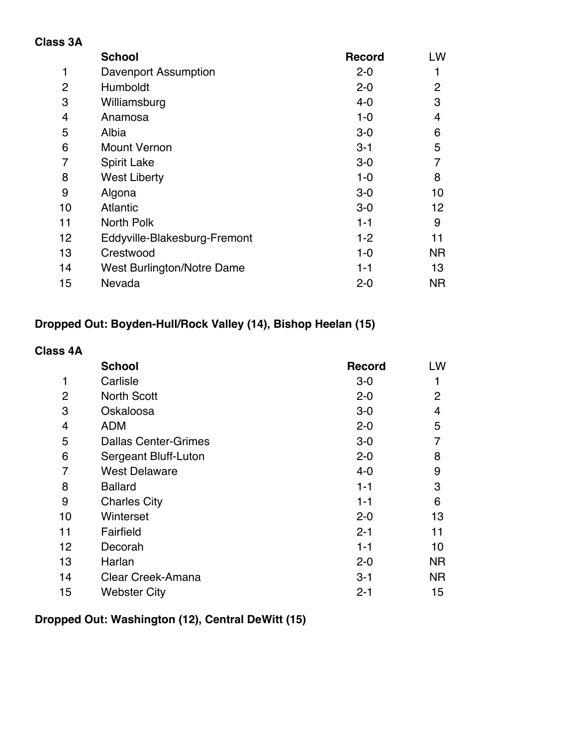### **Class 3A**

|                   | <b>School</b>                | <b>Record</b> | LW        |
|-------------------|------------------------------|---------------|-----------|
| 1                 | Davenport Assumption         | $2 - 0$       |           |
| 2                 | Humboldt                     | $2 - 0$       | 2         |
| 3                 | Williamsburg                 | $4 - 0$       | 3         |
| 4                 | Anamosa                      | $1 - 0$       | 4         |
| 5                 | Albia                        | $3-0$         | 6         |
| 6                 | <b>Mount Vernon</b>          | $3 - 1$       | 5         |
| 7                 | <b>Spirit Lake</b>           | $3-0$         | 7         |
| 8                 | <b>West Liberty</b>          | $1 - 0$       | 8         |
| 9                 | Algona                       | $3-0$         | 10        |
| 10                | <b>Atlantic</b>              | $3-0$         | 12        |
| 11                | North Polk                   | $1 - 1$       | 9         |
| $12 \overline{ }$ | Eddyville-Blakesburg-Fremont | $1 - 2$       | 11        |
| 13                | Crestwood                    | $1 - 0$       | <b>NR</b> |
| 14                | West Burlington/Notre Dame   | $1 - 1$       | 13        |
| 15                | Nevada                       | $2 - 0$       | ΝR        |

## **Dropped Out: Boyden-Hull/Rock Valley (14), Bishop Heelan (15)**

### **Class 4A**

|                | <b>School</b>               | <b>Record</b> | LW        |
|----------------|-----------------------------|---------------|-----------|
| 1              | Carlisle                    | $3-0$         | 1         |
| 2              | <b>North Scott</b>          | $2 - 0$       | 2         |
| 3              | Oskaloosa                   | $3-0$         | 4         |
| $\overline{4}$ | ADM                         | $2 - 0$       | 5         |
| 5              | <b>Dallas Center-Grimes</b> | $3-0$         | 7         |
| 6              | Sergeant Bluff-Luton        | $2 - 0$       | 8         |
| 7              | <b>West Delaware</b>        | $4 - 0$       | 9         |
| 8              | <b>Ballard</b>              | $1 - 1$       | 3         |
| 9              | <b>Charles City</b>         | $1 - 1$       | 6         |
| 10             | Winterset                   | $2 - 0$       | 13        |
| 11             | Fairfield                   | $2 - 1$       | 11        |
| 12             | Decorah                     | $1 - 1$       | 10        |
| 13             | Harlan                      | $2 - 0$       | <b>NR</b> |
| 14             | Clear Creek-Amana           | $3 - 1$       | <b>NR</b> |
| 15             | <b>Webster City</b>         | $2 - 1$       | 15        |

## **Dropped Out: Washington (12), Central DeWitt (15)**